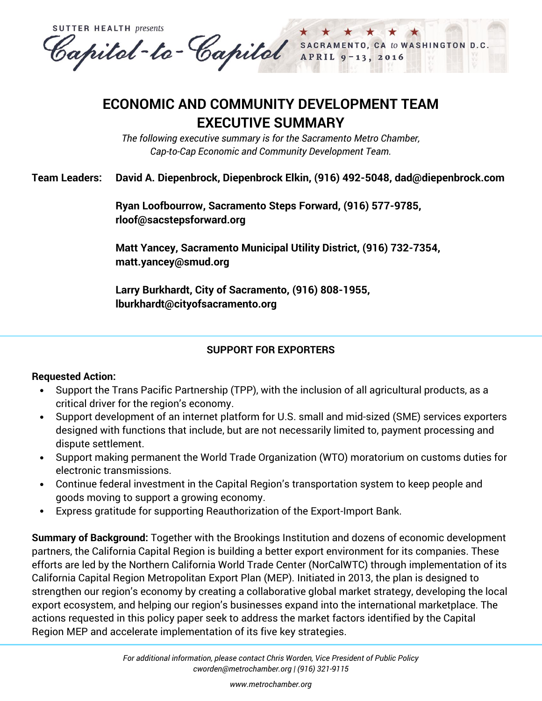**SUTTER HEALTH presents** Capital-to-Capital SACRAMENTO, CA to WASHINGTON D.C.

# **ECONOMIC AND COMMUNITY DEVELOPMENT TEAM EXECUTIVE SUMMARY**

*The following executive summary is for the Sacramento Metro Chamber, Cap-to-Cap Economic and Community Development Team.*

# **Team Leaders: David A. Diepenbrock, Diepenbrock Elkin, (916) 492-5048, dad@diepenbrock.com**

**Ryan Loofbourrow, Sacramento Steps Forward, (916) 577-9785, [rloof@sacstepsforward.org](mailto:rloof@sacstepsforward.org)**

**Matt Yancey, Sacramento Municipal Utility District, (916) 732-7354, matt.yancey@smud.org**

**Larry Burkhardt, City of Sacramento, (916) 808-1955, lburkhardt@cityofsacramento.org**

## **SUPPORT FOR EXPORTERS**

## **Requested Action:**

- Support the Trans Pacific Partnership (TPP), with the inclusion of all agricultural products, as a critical driver for the region's economy.
- Support development of an internet platform for U.S. small and mid-sized (SME) services exporters designed with functions that include, but are not necessarily limited to, payment processing and dispute settlement.
- Support making permanent the World Trade Organization (WTO) moratorium on customs duties for electronic transmissions.
- Continue federal investment in the Capital Region's transportation system to keep people and goods moving to support a growing economy.
- Express gratitude for supporting Reauthorization of the Export-Import Bank.

**Summary of Background:** Together with the Brookings Institution and dozens of economic development partners, the California Capital Region is building a better export environment for its companies. These efforts are led by the Northern California World Trade Center (NorCalWTC) through implementation of its California Capital Region Metropolitan Export Plan (MEP). Initiated in 2013, the plan is designed to strengthen our region's economy by creating a collaborative global market strategy, developing the local export ecosystem, and helping our region's businesses expand into the international marketplace. The actions requested in this policy paper seek to address the market factors identified by the Capital Region MEP and accelerate implementation of its five key strategies.

*[www.metrochamber.org](http://www.metrochamber.org/)*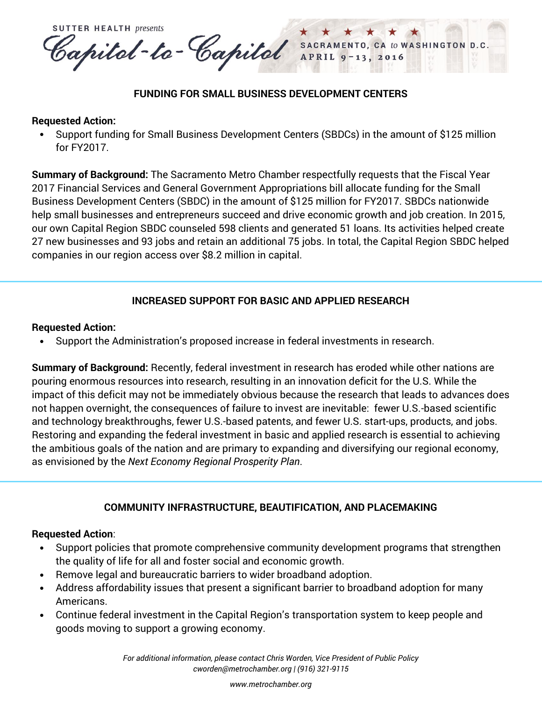**SUTTER HEALTH presents** Capital-to-Capital SACRAMENTO, CA to WASHINGTON D.C. APRIL 2016

### **FUNDING FOR SMALL BUSINESS DEVELOPMENT CENTERS**

#### **Requested Action:**

 Support funding for Small Business Development Centers (SBDCs) in the amount of \$125 million for FY2017.

**Summary of Background:** The Sacramento Metro Chamber respectfully requests that the Fiscal Year 2017 Financial Services and General Government Appropriations bill allocate funding for the Small Business Development Centers (SBDC) in the amount of \$125 million for FY2017. SBDCs nationwide help small businesses and entrepreneurs succeed and drive economic growth and job creation. In 2015, our own Capital Region SBDC counseled 598 clients and generated 51 loans. Its activities helped create 27 new businesses and 93 jobs and retain an additional 75 jobs. In total, the Capital Region SBDC helped companies in our region access over \$8.2 million in capital.

## **INCREASED SUPPORT FOR BASIC AND APPLIED RESEARCH**

#### **Requested Action:**

Support the Administration's proposed increase in federal investments in research.

**Summary of Background:** Recently, federal investment in research has eroded while other nations are pouring enormous resources into research, resulting in an innovation deficit for the U.S. While the impact of this deficit may not be immediately obvious because the research that leads to advances does not happen overnight, the consequences of failure to invest are inevitable: fewer U.S.-based scientific and technology breakthroughs, fewer U.S.-based patents, and fewer U.S. start-ups, products, and jobs. Restoring and expanding the federal investment in basic and applied research is essential to achieving the ambitious goals of the nation and are primary to expanding and diversifying our regional economy, as envisioned by the *Next Economy Regional Prosperity Plan*.

## **COMMUNITY INFRASTRUCTURE, BEAUTIFICATION, AND PLACEMAKING**

#### **Requested Action**:

- Support policies that promote comprehensive community development programs that strengthen the quality of life for all and foster social and economic growth.
- Remove legal and bureaucratic barriers to wider broadband adoption.
- Address affordability issues that present a significant barrier to broadband adoption for many Americans.
- Continue federal investment in the Capital Region's transportation system to keep people and goods moving to support a growing economy.

*For additional information, please contact Chris Worden, Vice President of Public Policy [cworden@metrochamber.org](mailto:cworden@metrochamber.org) | (916) 321-9115*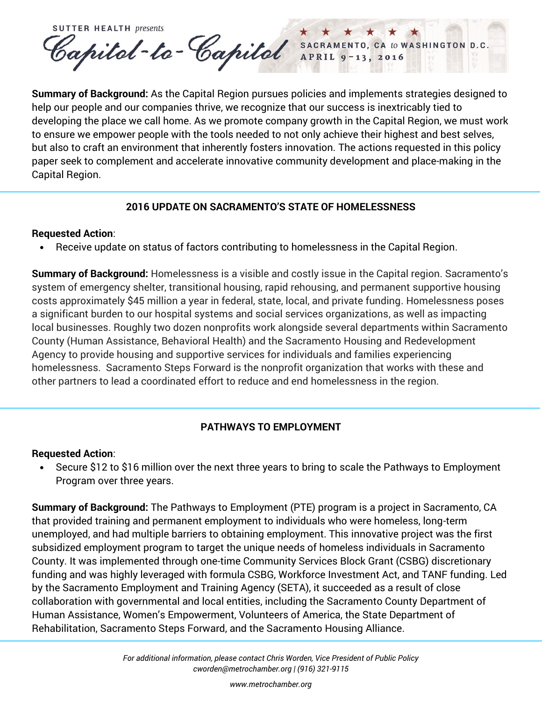**SUTTER HEALTH presents** Capital-to-Capital SACRAMENTO, CA to WASHINGTON D.C.

**Summary of Background:** As the Capital Region pursues policies and implements strategies designed to help our people and our companies thrive, we recognize that our success is inextricably tied to developing the place we call home. As we promote company growth in the Capital Region, we must work to ensure we empower people with the tools needed to not only achieve their highest and best selves, but also to craft an environment that inherently fosters innovation. The actions requested in this policy paper seek to complement and accelerate innovative community development and place-making in the Capital Region.

## **2016 UPDATE ON SACRAMENTO'S STATE OF HOMELESSNESS**

## **Requested Action**:

Receive update on status of factors contributing to homelessness in the Capital Region.

**Summary of Background:** Homelessness is a visible and costly issue in the Capital region. Sacramento's system of emergency shelter, transitional housing, rapid rehousing, and permanent supportive housing costs approximately \$45 million a year in federal, state, local, and private funding. Homelessness poses a significant burden to our hospital systems and social services organizations, as well as impacting local businesses. Roughly two dozen nonprofits work alongside several departments within Sacramento County (Human Assistance, Behavioral Health) and the Sacramento Housing and Redevelopment Agency to provide housing and supportive services for individuals and families experiencing homelessness. Sacramento Steps Forward is the nonprofit organization that works with these and other partners to lead a coordinated effort to reduce and end homelessness in the region.

# **PATHWAYS TO EMPLOYMENT**

## **Requested Action**:

 Secure \$12 to \$16 million over the next three years to bring to scale the Pathways to Employment Program over three years.

**Summary of Background:** The Pathways to Employment (PTE) program is a project in Sacramento, CA that provided training and permanent employment to individuals who were homeless, long-term unemployed, and had multiple barriers to obtaining employment. This innovative project was the first subsidized employment program to target the unique needs of homeless individuals in Sacramento County. It was implemented through one-time Community Services Block Grant (CSBG) discretionary funding and was highly leveraged with formula CSBG, Workforce Investment Act, and TANF funding. Led by the Sacramento Employment and Training Agency (SETA), it succeeded as a result of close collaboration with governmental and local entities, including the Sacramento County Department of Human Assistance, Women's Empowerment, Volunteers of America, the State Department of Rehabilitation, Sacramento Steps Forward, and the Sacramento Housing Alliance.